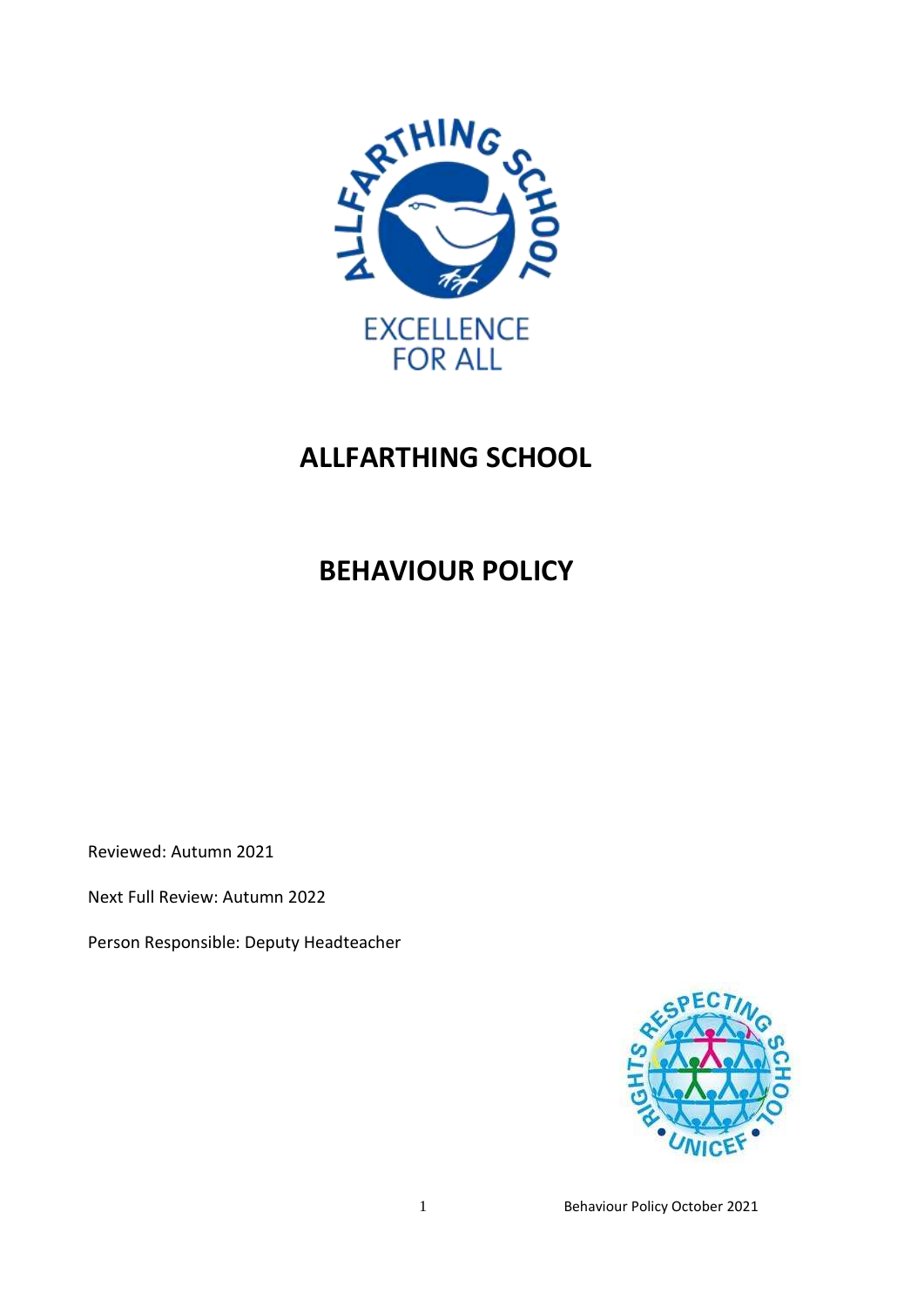

# **ALLFARTHING SCHOOL**

# **BEHAVIOUR POLICY**

Reviewed: Autumn 2021

Next Full Review: Autumn 2022

Person Responsible: Deputy Headteacher



1 **Behaviour Policy October 2021**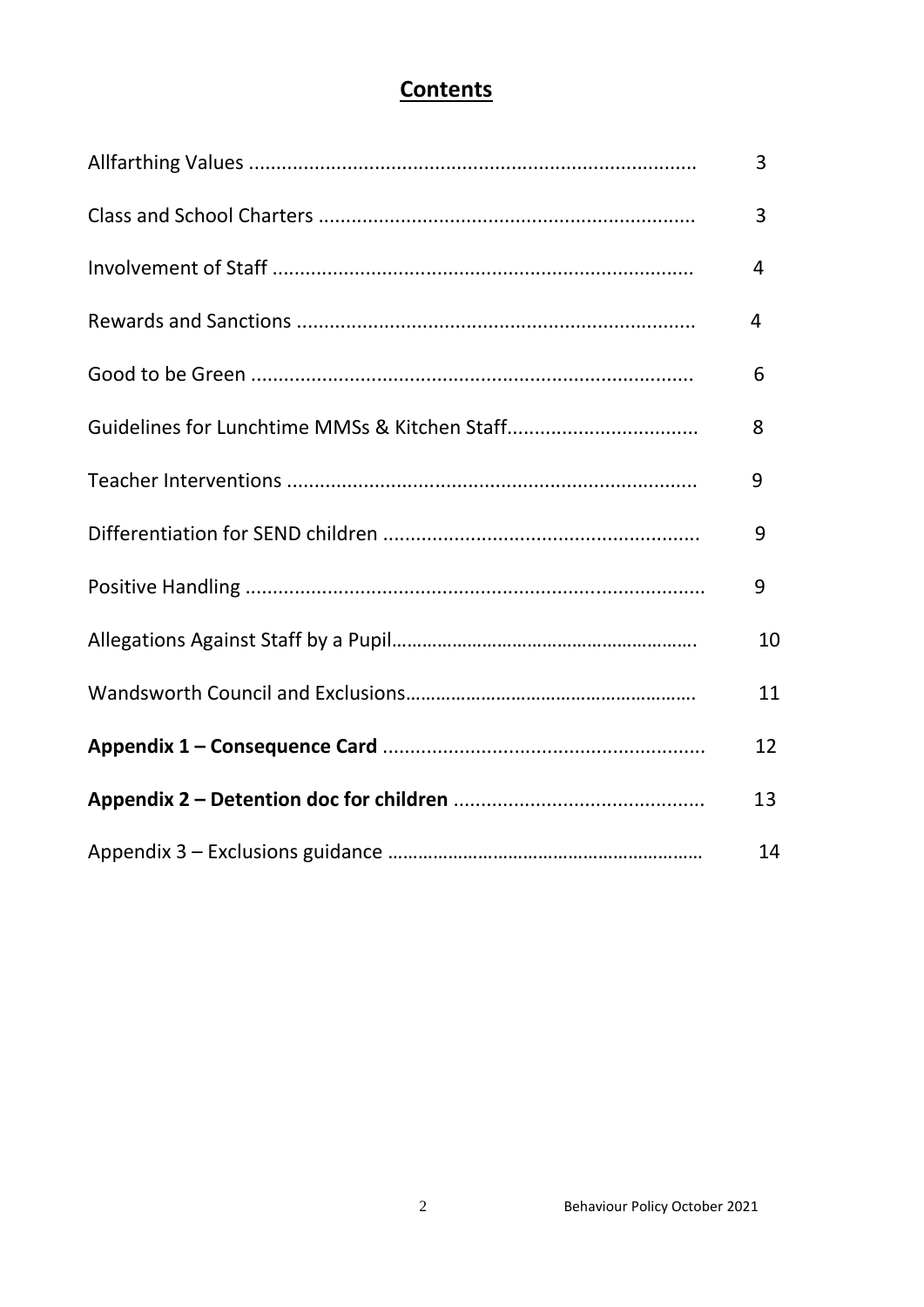## **Contents**

| 3  |
|----|
| 3  |
| 4  |
| 4  |
| 6  |
| 8  |
| 9  |
| 9  |
| 9  |
| 10 |
| 11 |
| 12 |
| 13 |
| 14 |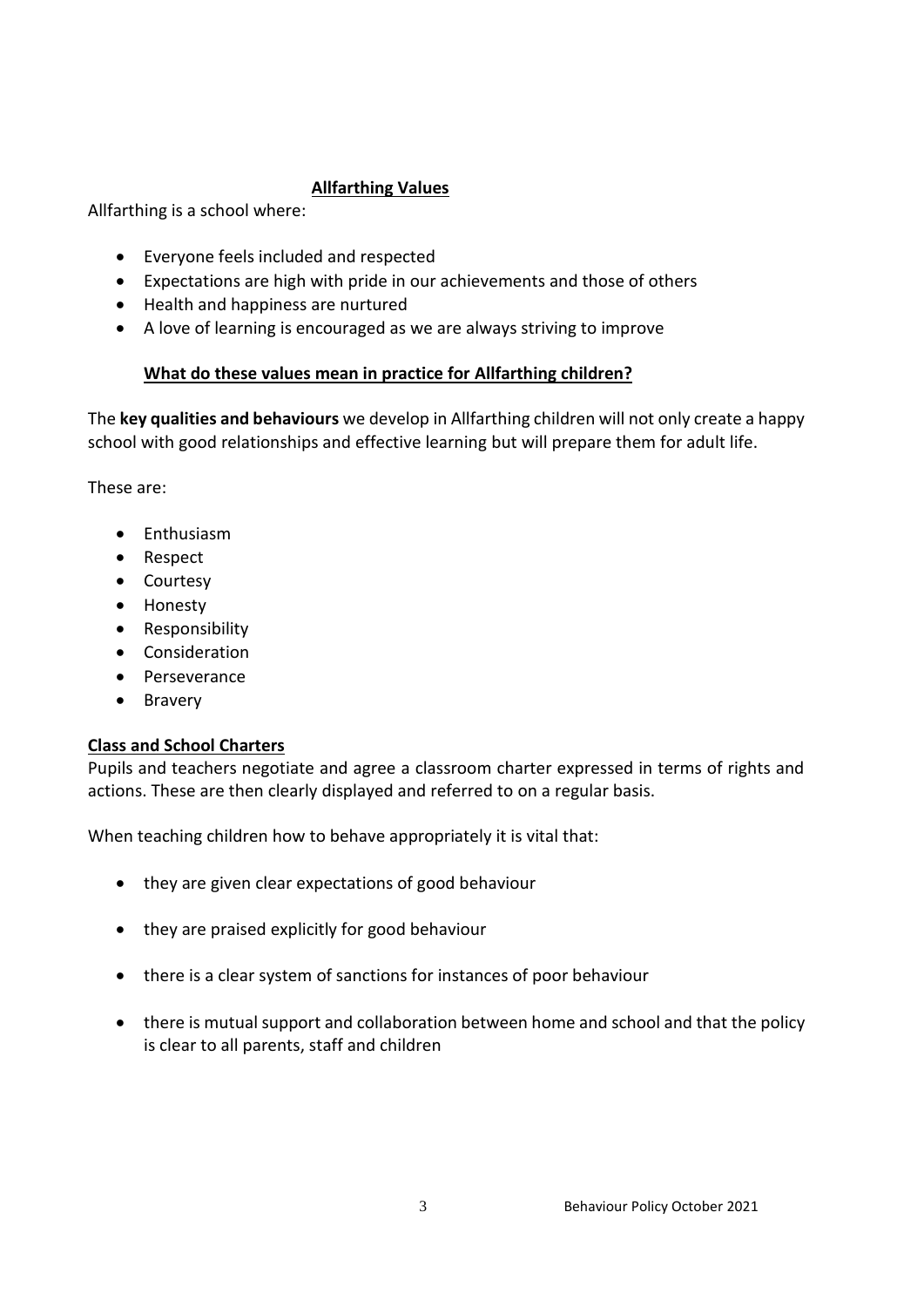## **Allfarthing Values**

Allfarthing is a school where:

- Everyone feels included and respected
- Expectations are high with pride in our achievements and those of others
- Health and happiness are nurtured
- A love of learning is encouraged as we are always striving to improve

## **What do these values mean in practice for Allfarthing children?**

The **key qualities and behaviours** we develop in Allfarthing children will not only create a happy school with good relationships and effective learning but will prepare them for adult life.

These are:

- Enthusiasm
- Respect
- Courtesy
- Honesty
- Responsibility
- Consideration
- Perseverance
- Bravery

## **Class and School Charters**

Pupils and teachers negotiate and agree a classroom charter expressed in terms of rights and actions. These are then clearly displayed and referred to on a regular basis.

When teaching children how to behave appropriately it is vital that:

- they are given clear expectations of good behaviour
- they are praised explicitly for good behaviour
- there is a clear system of sanctions for instances of poor behaviour
- there is mutual support and collaboration between home and school and that the policy is clear to all parents, staff and children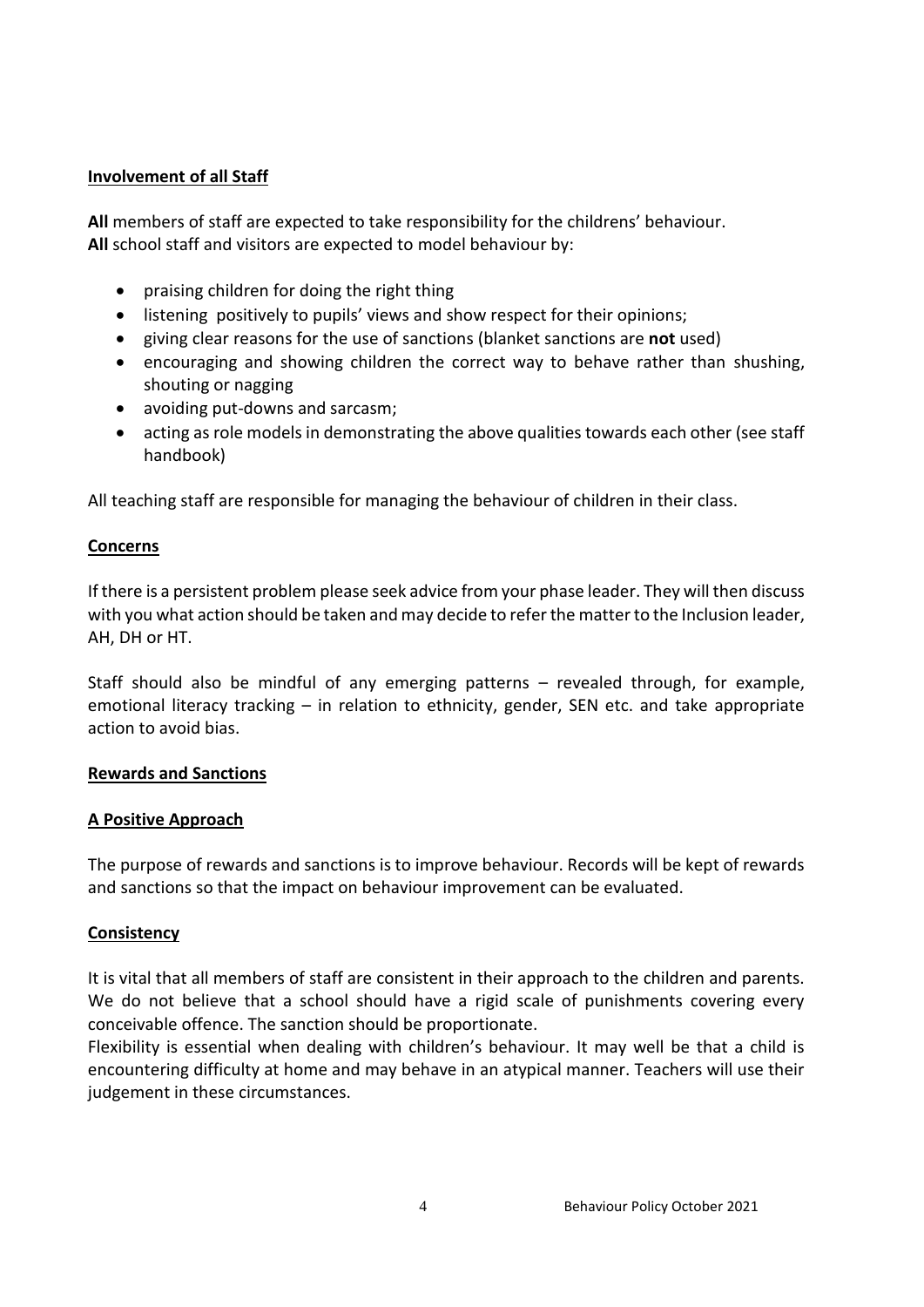#### **Involvement of all Staff**

**All** members of staff are expected to take responsibility for the childrens' behaviour. **All** school staff and visitors are expected to model behaviour by:

- praising children for doing the right thing
- listening positively to pupils' views and show respect for their opinions;
- giving clear reasons for the use of sanctions (blanket sanctions are **not** used)
- encouraging and showing children the correct way to behave rather than shushing, shouting or nagging
- avoiding put-downs and sarcasm;
- acting as role models in demonstrating the above qualities towards each other (see staff handbook)

All teaching staff are responsible for managing the behaviour of children in their class.

#### **Concerns**

If there is a persistent problem please seek advice from your phase leader. They will then discuss with you what action should be taken and may decide to refer the matter to the Inclusion leader, AH, DH or HT.

Staff should also be mindful of any emerging patterns – revealed through, for example, emotional literacy tracking – in relation to ethnicity, gender, SEN etc. and take appropriate action to avoid bias.

#### **Rewards and Sanctions**

#### **A Positive Approach**

The purpose of rewards and sanctions is to improve behaviour. Records will be kept of rewards and sanctions so that the impact on behaviour improvement can be evaluated.

#### **Consistency**

It is vital that all members of staff are consistent in their approach to the children and parents. We do not believe that a school should have a rigid scale of punishments covering every conceivable offence. The sanction should be proportionate.

Flexibility is essential when dealing with children's behaviour. It may well be that a child is encountering difficulty at home and may behave in an atypical manner. Teachers will use their judgement in these circumstances.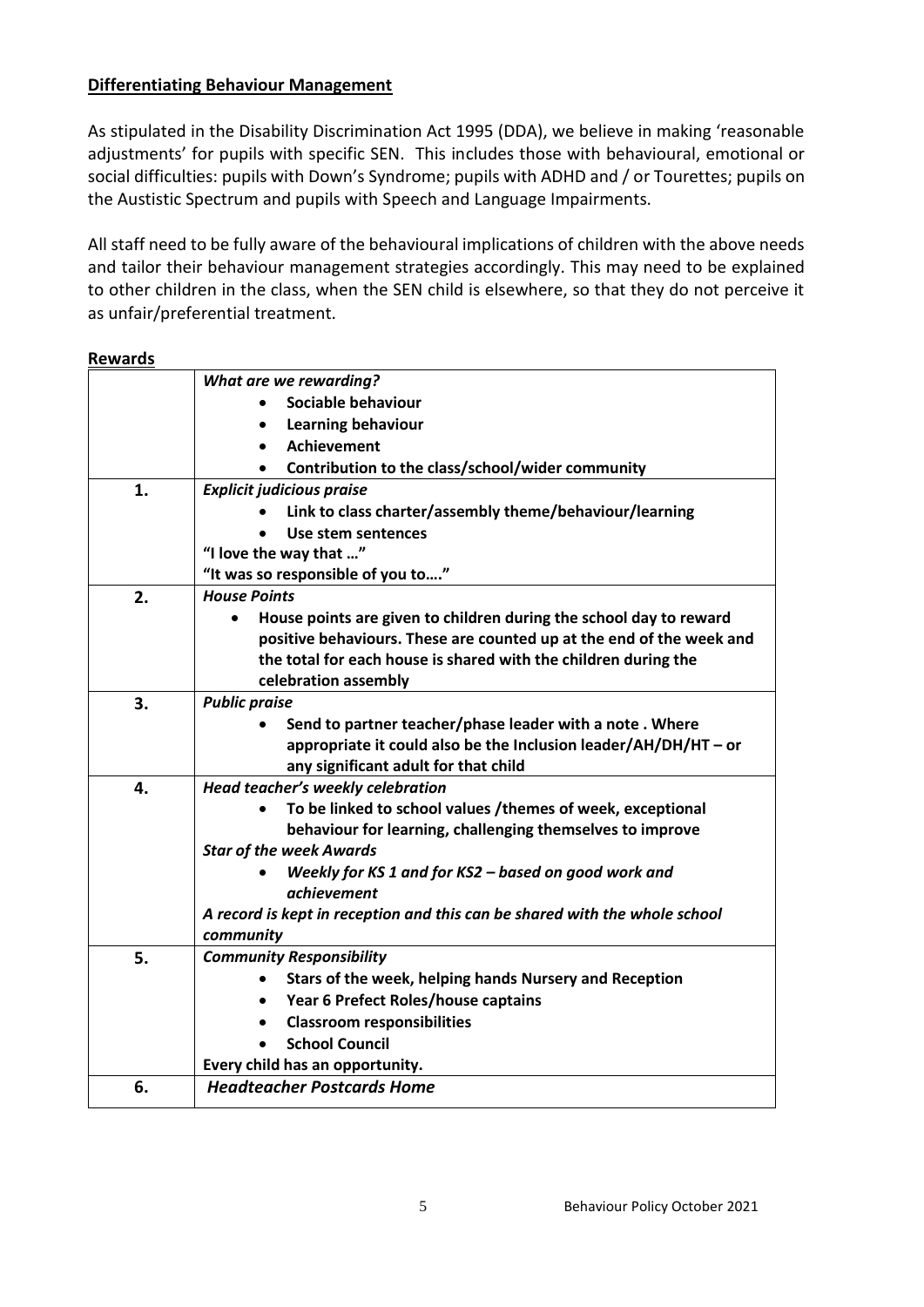#### **Differentiating Behaviour Management**

As stipulated in the Disability Discrimination Act 1995 (DDA), we believe in making 'reasonable adjustments' for pupils with specific SEN. This includes those with behavioural, emotional or social difficulties: pupils with Down's Syndrome; pupils with ADHD and / or Tourettes; pupils on the Austistic Spectrum and pupils with Speech and Language Impairments.

All staff need to be fully aware of the behavioural implications of children with the above needs and tailor their behaviour management strategies accordingly. This may need to be explained to other children in the class, when the SEN child is elsewhere, so that they do not perceive it as unfair/preferential treatment.

#### **Rewards**

|    | What are we rewarding?                                                     |  |  |  |
|----|----------------------------------------------------------------------------|--|--|--|
|    | Sociable behaviour                                                         |  |  |  |
|    | Learning behaviour                                                         |  |  |  |
|    | Achievement                                                                |  |  |  |
|    | Contribution to the class/school/wider community                           |  |  |  |
| 1. | <b>Explicit judicious praise</b>                                           |  |  |  |
|    | Link to class charter/assembly theme/behaviour/learning                    |  |  |  |
|    | Use stem sentences                                                         |  |  |  |
|    | "I love the way that "                                                     |  |  |  |
|    | "It was so responsible of you to"                                          |  |  |  |
| 2. | <b>House Points</b>                                                        |  |  |  |
|    | House points are given to children during the school day to reward         |  |  |  |
|    | positive behaviours. These are counted up at the end of the week and       |  |  |  |
|    | the total for each house is shared with the children during the            |  |  |  |
|    | celebration assembly                                                       |  |  |  |
| 3. | <b>Public praise</b>                                                       |  |  |  |
|    | Send to partner teacher/phase leader with a note. Where                    |  |  |  |
|    | appropriate it could also be the Inclusion leader/AH/DH/HT - or            |  |  |  |
|    | any significant adult for that child                                       |  |  |  |
| 4. | Head teacher's weekly celebration                                          |  |  |  |
|    | To be linked to school values /themes of week, exceptional                 |  |  |  |
|    | behaviour for learning, challenging themselves to improve                  |  |  |  |
|    | <b>Star of the week Awards</b>                                             |  |  |  |
|    | Weekly for KS 1 and for KS2 - based on good work and                       |  |  |  |
|    | <i>achievement</i>                                                         |  |  |  |
|    | A record is kept in reception and this can be shared with the whole school |  |  |  |
|    | community                                                                  |  |  |  |
| 5. | <b>Community Responsibility</b>                                            |  |  |  |
|    | Stars of the week, helping hands Nursery and Reception                     |  |  |  |
|    | Year 6 Prefect Roles/house captains                                        |  |  |  |
|    | <b>Classroom responsibilities</b><br>$\bullet$                             |  |  |  |
|    | <b>School Council</b>                                                      |  |  |  |
|    | Every child has an opportunity.                                            |  |  |  |
| 6. | <b>Headteacher Postcards Home</b>                                          |  |  |  |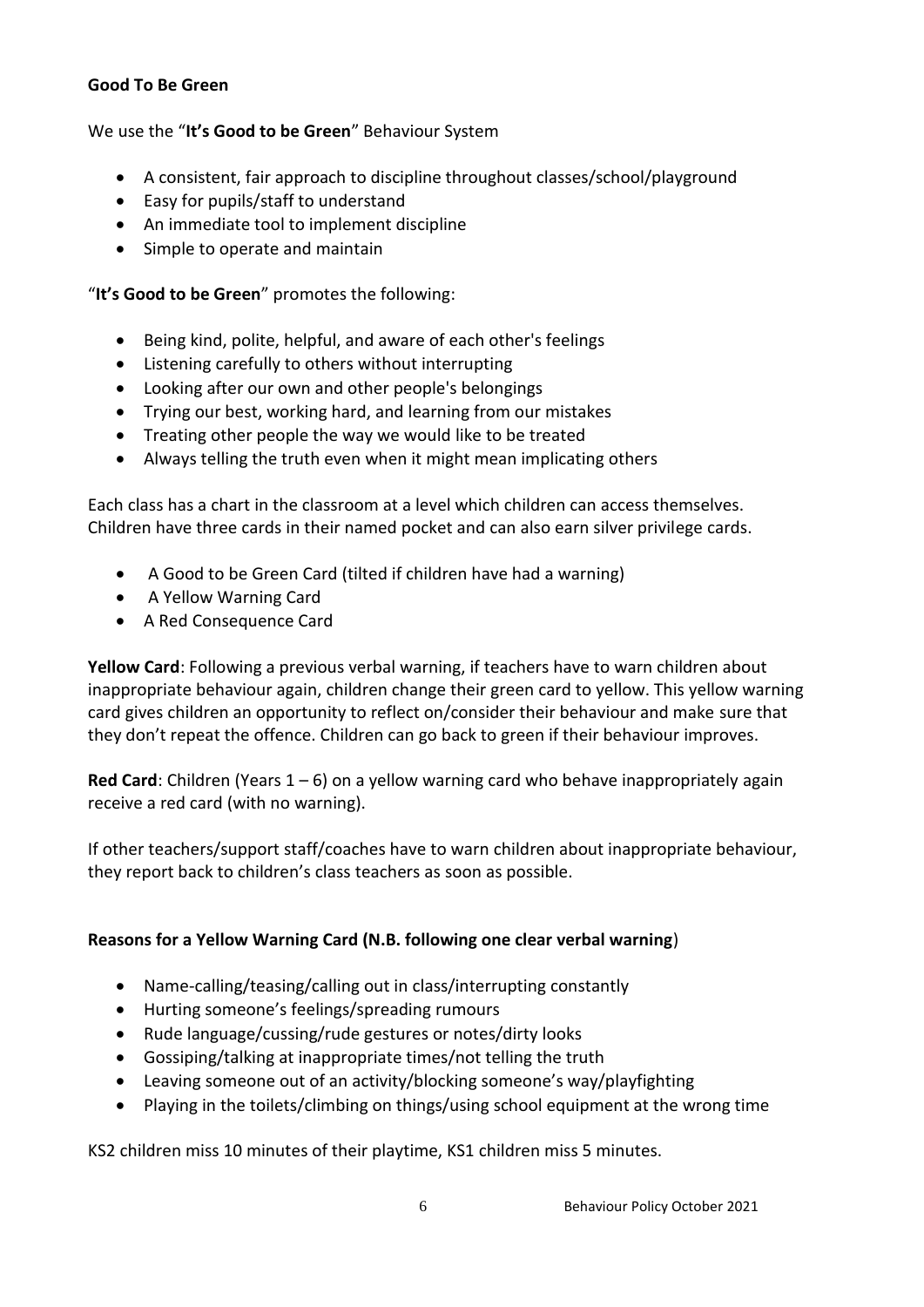### **Good To Be Green**

## We use the "**It's Good to be Green**" Behaviour System

- A consistent, fair approach to discipline throughout classes/school/playground
- Easy for pupils/staff to understand
- An immediate tool to implement discipline
- Simple to operate and maintain

### "**It's Good to be Green**" promotes the following:

- Being kind, polite, helpful, and aware of each other's feelings
- Listening carefully to others without interrupting
- Looking after our own and other people's belongings
- Trying our best, working hard, and learning from our mistakes
- Treating other people the way we would like to be treated
- Always telling the truth even when it might mean implicating others

Each class has a chart in the classroom at a level which children can access themselves. Children have three cards in their named pocket and can also earn silver privilege cards.

- A Good to be Green Card (tilted if children have had a warning)
- A Yellow Warning Card
- A Red Consequence Card

**Yellow Card**: Following a previous verbal warning, if teachers have to warn children about inappropriate behaviour again, children change their green card to yellow. This yellow warning card gives children an opportunity to reflect on/consider their behaviour and make sure that they don't repeat the offence. Children can go back to green if their behaviour improves.

**Red Card**: Children (Years 1 – 6) on a yellow warning card who behave inappropriately again receive a red card (with no warning).

If other teachers/support staff/coaches have to warn children about inappropriate behaviour, they report back to children's class teachers as soon as possible.

## **Reasons for a Yellow Warning Card (N.B. following one clear verbal warning**)

- Name-calling/teasing/calling out in class/interrupting constantly
- Hurting someone's feelings/spreading rumours
- Rude language/cussing/rude gestures or notes/dirty looks
- Gossiping/talking at inappropriate times/not telling the truth
- Leaving someone out of an activity/blocking someone's way/playfighting
- Playing in the toilets/climbing on things/using school equipment at the wrong time

KS2 children miss 10 minutes of their playtime, KS1 children miss 5 minutes.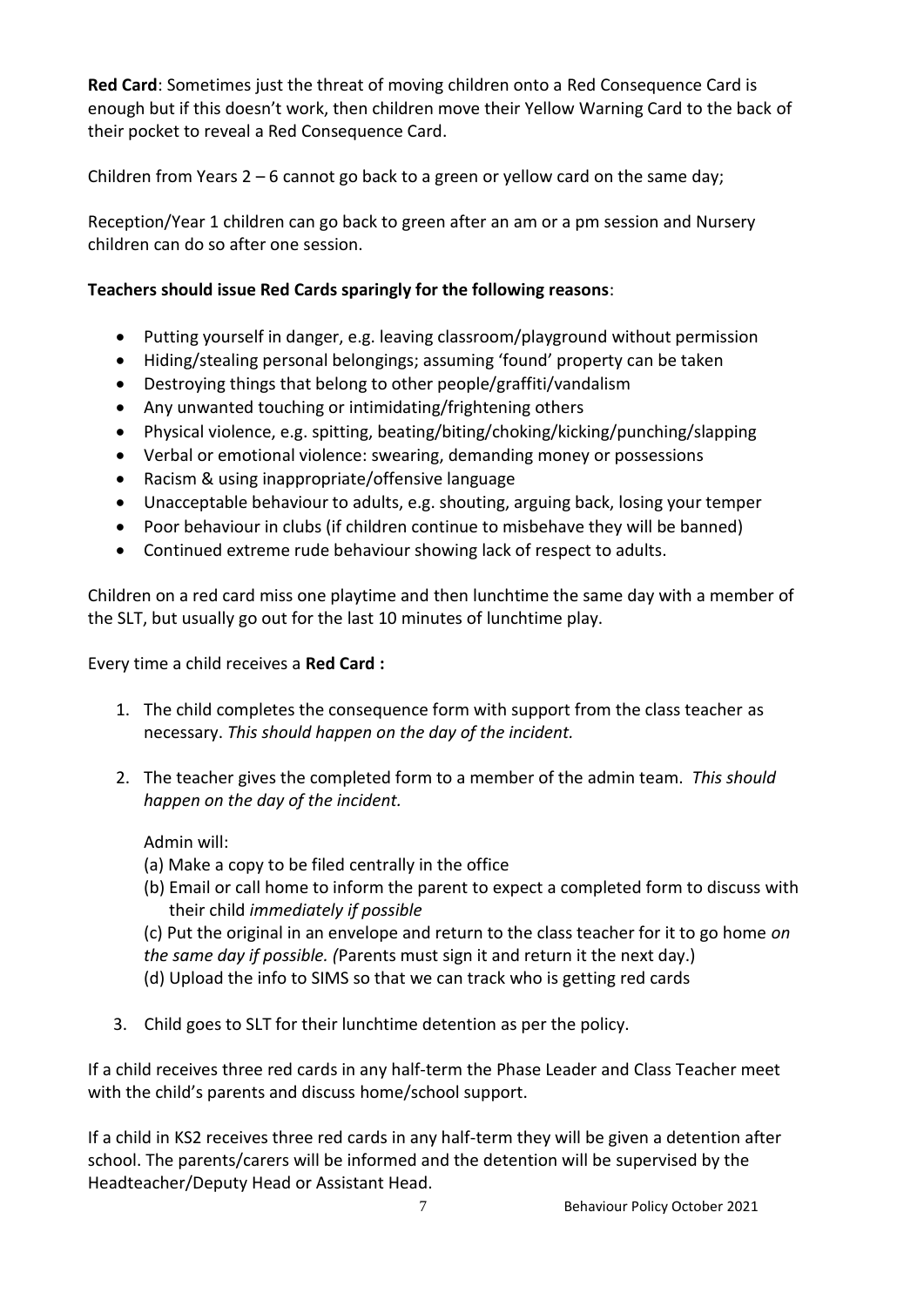**Red Card**: Sometimes just the threat of moving children onto a Red Consequence Card is enough but if this doesn't work, then children move their Yellow Warning Card to the back of their pocket to reveal a Red Consequence Card.

Children from Years 2 – 6 cannot go back to a green or yellow card on the same day;

Reception/Year 1 children can go back to green after an am or a pm session and Nursery children can do so after one session.

## **Teachers should issue Red Cards sparingly for the following reasons**:

- Putting yourself in danger, e.g. leaving classroom/playground without permission
- Hiding/stealing personal belongings; assuming 'found' property can be taken
- Destroying things that belong to other people/graffiti/vandalism
- Any unwanted touching or intimidating/frightening others
- Physical violence, e.g. spitting, beating/biting/choking/kicking/punching/slapping
- Verbal or emotional violence: swearing, demanding money or possessions
- Racism & using inappropriate/offensive language
- Unacceptable behaviour to adults, e.g. shouting, arguing back, losing your temper
- Poor behaviour in clubs (if children continue to misbehave they will be banned)
- Continued extreme rude behaviour showing lack of respect to adults.

Children on a red card miss one playtime and then lunchtime the same day with a member of the SLT, but usually go out for the last 10 minutes of lunchtime play.

## Every time a child receives a **Red Card :**

- 1. The child completes the consequence form with support from the class teacher as necessary. *This should happen on the day of the incident.*
- 2. The teacher gives the completed form to a member of the admin team. *This should happen on the day of the incident.*

## Admin will:

- (a) Make a copy to be filed centrally in the office
- (b) Email or call home to inform the parent to expect a completed form to discuss with their child *immediately if possible*

(c) Put the original in an envelope and return to the class teacher for it to go home *on the same day if possible. (*Parents must sign it and return it the next day.) (d) Upload the info to SIMS so that we can track who is getting red cards

3. Child goes to SLT for their lunchtime detention as per the policy.

If a child receives three red cards in any half-term the Phase Leader and Class Teacher meet with the child's parents and discuss home/school support.

If a child in KS2 receives three red cards in any half-term they will be given a detention after school. The parents/carers will be informed and the detention will be supervised by the Headteacher/Deputy Head or Assistant Head.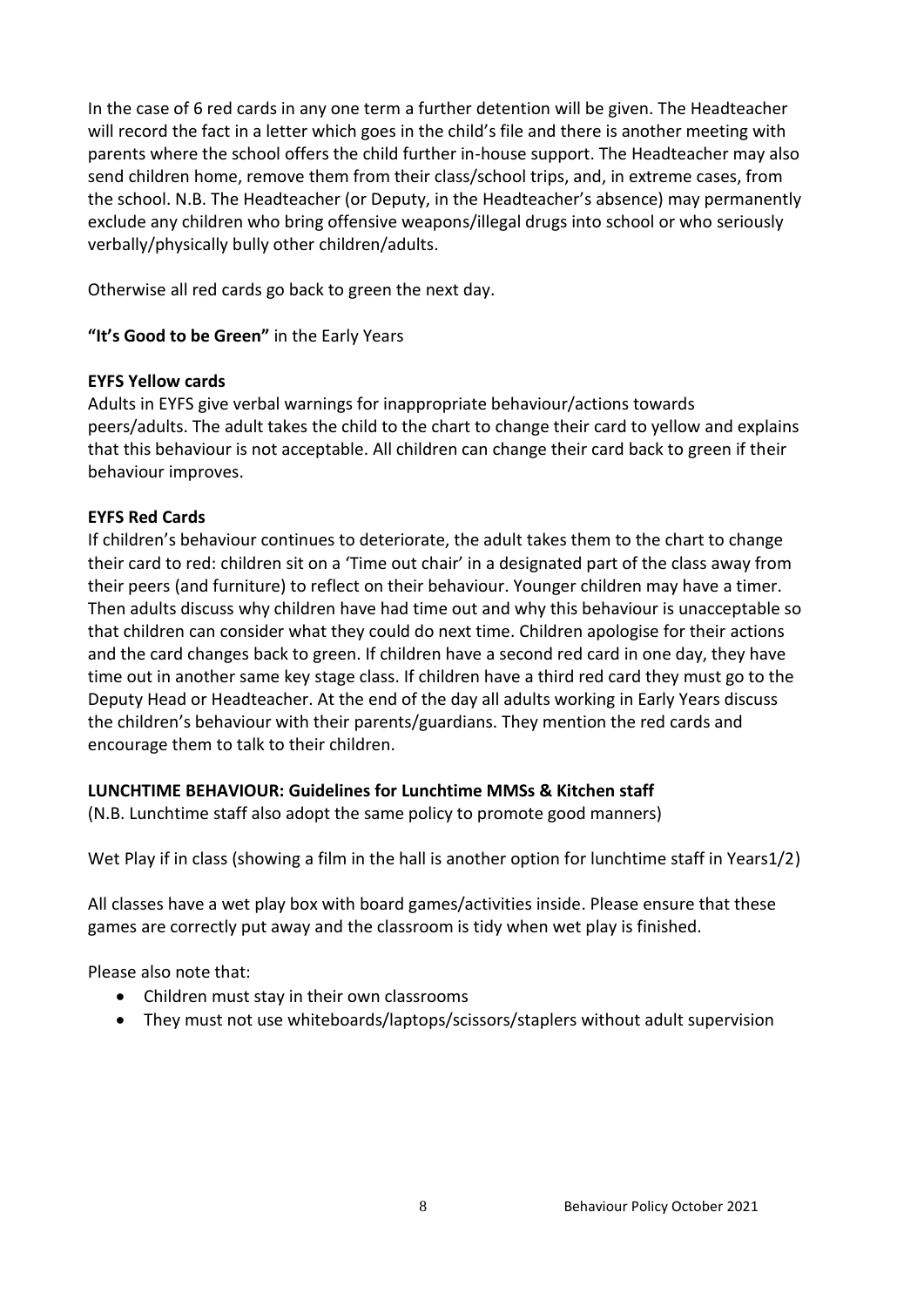In the case of 6 red cards in any one term a further detention will be given. The Headteacher will record the fact in a letter which goes in the child's file and there is another meeting with parents where the school offers the child further in-house support. The Headteacher may also send children home, remove them from their class/school trips, and, in extreme cases, from the school. N.B. The Headteacher (or Deputy, in the Headteacher's absence) may permanently exclude any children who bring offensive weapons/illegal drugs into school or who seriously verbally/physically bully other children/adults.

Otherwise all red cards go back to green the next day.

**"It's Good to be Green"** in the Early Years

#### **EYFS Yellow cards**

Adults in EYFS give verbal warnings for inappropriate behaviour/actions towards peers/adults. The adult takes the child to the chart to change their card to yellow and explains that this behaviour is not acceptable. All children can change their card back to green if their behaviour improves.

#### **EYFS Red Cards**

If children's behaviour continues to deteriorate, the adult takes them to the chart to change their card to red: children sit on a 'Time out chair' in a designated part of the class away from their peers (and furniture) to reflect on their behaviour. Younger children may have a timer. Then adults discuss why children have had time out and why this behaviour is unacceptable so that children can consider what they could do next time. Children apologise for their actions and the card changes back to green. If children have a second red card in one day, they have time out in another same key stage class. If children have a third red card they must go to the Deputy Head or Headteacher. At the end of the day all adults working in Early Years discuss the children's behaviour with their parents/guardians. They mention the red cards and encourage them to talk to their children.

## **LUNCHTIME BEHAVIOUR: Guidelines for Lunchtime MMSs & Kitchen staff**

(N.B. Lunchtime staff also adopt the same policy to promote good manners)

Wet Play if in class (showing a film in the hall is another option for lunchtime staff in Years1/2)

All classes have a wet play box with board games/activities inside. Please ensure that these games are correctly put away and the classroom is tidy when wet play is finished.

Please also note that:

- Children must stay in their own classrooms
- They must not use whiteboards/laptops/scissors/staplers without adult supervision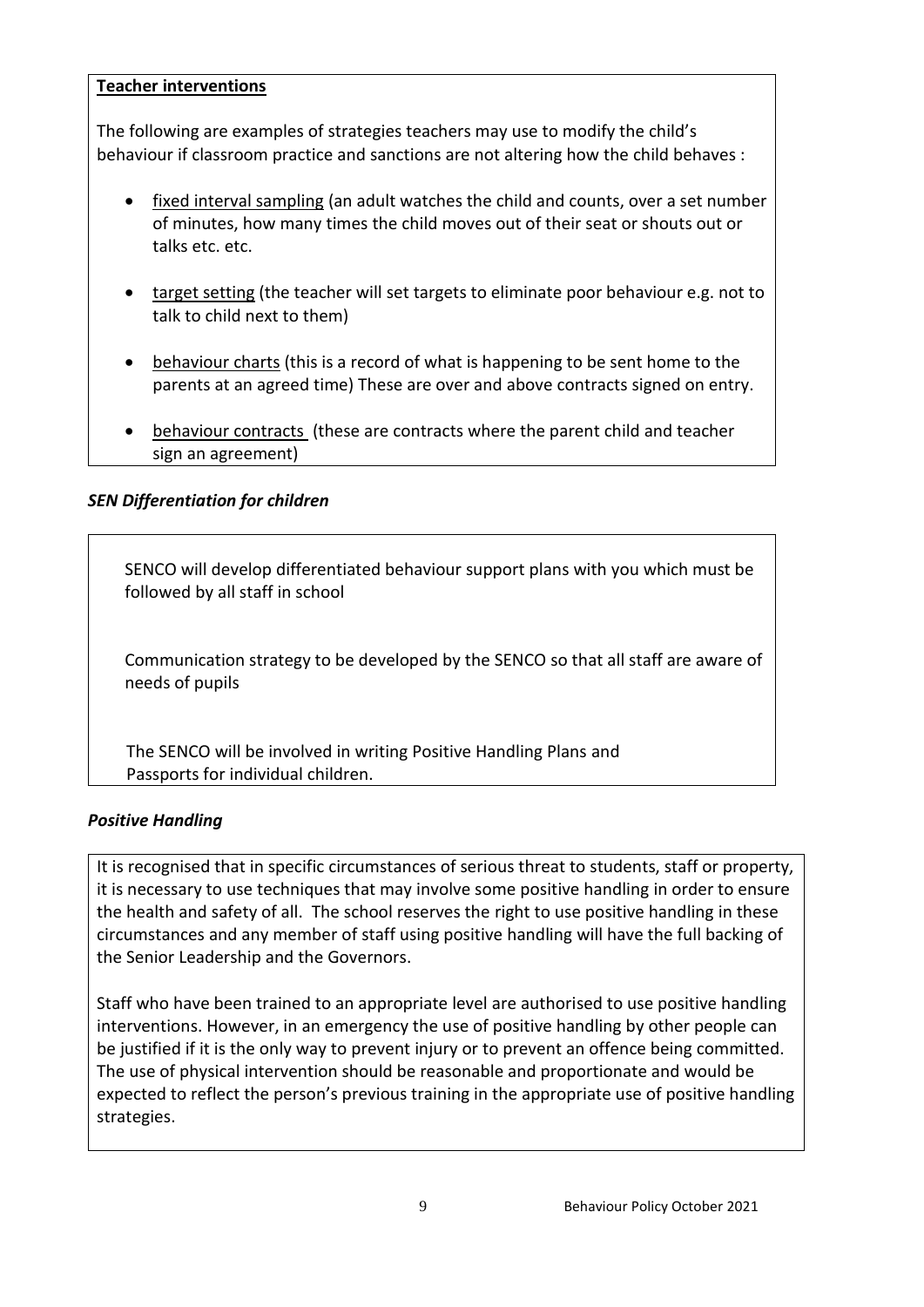#### **Teacher interventions**

The following are examples of strategies teachers may use to modify the child's behaviour if classroom practice and sanctions are not altering how the child behaves :

- fixed interval sampling (an adult watches the child and counts, over a set number of minutes, how many times the child moves out of their seat or shouts out or talks etc. etc.
- target setting (the teacher will set targets to eliminate poor behaviour e.g. not to talk to child next to them)
- behaviour charts (this is a record of what is happening to be sent home to the parents at an agreed time) These are over and above contracts signed on entry.
- behaviour contracts (these are contracts where the parent child and teacher sign an agreement)

## *SEN Differentiation for children*

SENCO will develop differentiated behaviour support plans with you which must be followed by all staff in school

Communication strategy to be developed by the SENCO so that all staff are aware of needs of pupils

The SENCO will be involved in writing Positive Handling Plans and Passports for individual children.

## *Positive Handling*

It is recognised that in specific circumstances of serious threat to students, staff or property, it is necessary to use techniques that may involve some positive handling in order to ensure the health and safety of all. The school reserves the right to use positive handling in these circumstances and any member of staff using positive handling will have the full backing of the Senior Leadership and the Governors.

Staff who have been trained to an appropriate level are authorised to use positive handling interventions. However, in an emergency the use of positive handling by other people can be justified if it is the only way to prevent injury or to prevent an offence being committed. The use of physical intervention should be reasonable and proportionate and would be expected to reflect the person's previous training in the appropriate use of positive handling strategies.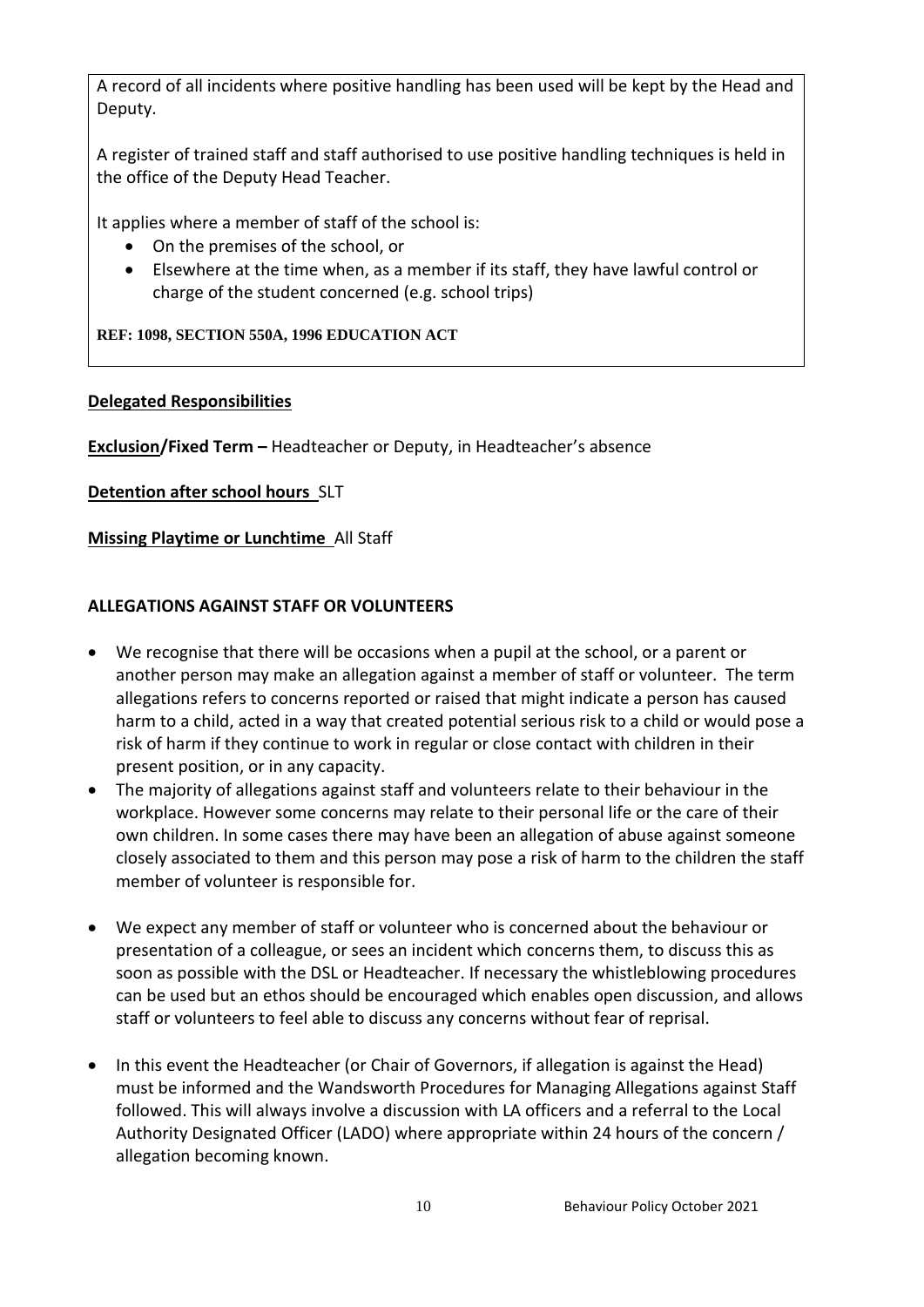A record of all incidents where positive handling has been used will be kept by the Head and Deputy.

A register of trained staff and staff authorised to use positive handling techniques is held in the office of the Deputy Head Teacher.

It applies where a member of staff of the school is:

- On the premises of the school, or
- Elsewhere at the time when, as a member if its staff, they have lawful control or charge of the student concerned (e.g. school trips)

**REF: 1098, SECTION 550A, 1996 EDUCATION ACT** 

#### **Delegated Responsibilities**

**Exclusion/Fixed Term –** Headteacher or Deputy, in Headteacher's absence

**Detention after school hours** SLT

**Missing Playtime or Lunchtime** All Staff

## **ALLEGATIONS AGAINST STAFF OR VOLUNTEERS**

- We recognise that there will be occasions when a pupil at the school, or a parent or another person may make an allegation against a member of staff or volunteer. The term allegations refers to concerns reported or raised that might indicate a person has caused harm to a child, acted in a way that created potential serious risk to a child or would pose a risk of harm if they continue to work in regular or close contact with children in their present position, or in any capacity.
- The majority of allegations against staff and volunteers relate to their behaviour in the workplace. However some concerns may relate to their personal life or the care of their own children. In some cases there may have been an allegation of abuse against someone closely associated to them and this person may pose a risk of harm to the children the staff member of volunteer is responsible for.
- We expect any member of staff or volunteer who is concerned about the behaviour or presentation of a colleague, or sees an incident which concerns them, to discuss this as soon as possible with the DSL or Headteacher. If necessary the whistleblowing procedures can be used but an ethos should be encouraged which enables open discussion, and allows staff or volunteers to feel able to discuss any concerns without fear of reprisal.
- In this event the Headteacher (or Chair of Governors, if allegation is against the Head) must be informed and the Wandsworth Procedures for Managing Allegations against Staff followed. This will always involve a discussion with LA officers and a referral to the Local Authority Designated Officer (LADO) where appropriate within 24 hours of the concern / allegation becoming known.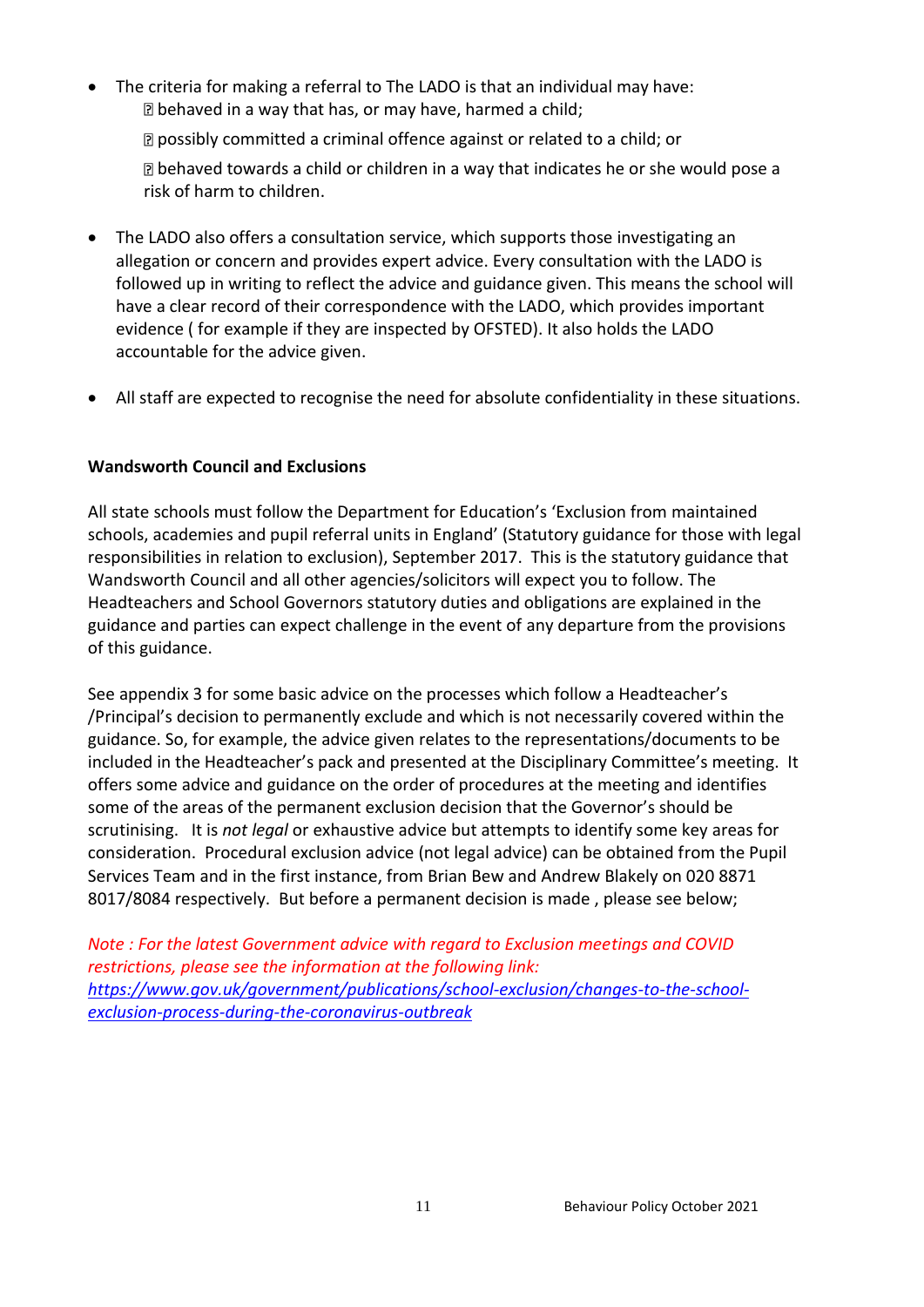The criteria for making a referral to The LADO is that an individual may have: behaved in a way that has, or may have, harmed a child;

**Z** possibly committed a criminal offence against or related to a child; or

behaved towards a child or children in a way that indicates he or she would pose a risk of harm to children.

- The LADO also offers a consultation service, which supports those investigating an allegation or concern and provides expert advice. Every consultation with the LADO is followed up in writing to reflect the advice and guidance given. This means the school will have a clear record of their correspondence with the LADO, which provides important evidence ( for example if they are inspected by OFSTED). It also holds the LADO accountable for the advice given.
- All staff are expected to recognise the need for absolute confidentiality in these situations.

## **Wandsworth Council and Exclusions**

All state schools must follow the Department for Education's 'Exclusion from maintained schools, academies and pupil referral units in England' (Statutory guidance for those with legal responsibilities in relation to exclusion), September 2017. This is the statutory guidance that Wandsworth Council and all other agencies/solicitors will expect you to follow. The Headteachers and School Governors statutory duties and obligations are explained in the guidance and parties can expect challenge in the event of any departure from the provisions of this guidance.

See appendix 3 for some basic advice on the processes which follow a Headteacher's /Principal's decision to permanently exclude and which is not necessarily covered within the guidance. So, for example, the advice given relates to the representations/documents to be included in the Headteacher's pack and presented at the Disciplinary Committee's meeting. It offers some advice and guidance on the order of procedures at the meeting and identifies some of the areas of the permanent exclusion decision that the Governor's should be scrutinising. It is *not legal* or exhaustive advice but attempts to identify some key areas for consideration. Procedural exclusion advice (not legal advice) can be obtained from the Pupil Services Team and in the first instance, from Brian Bew and Andrew Blakely on 020 8871 8017/8084 respectively. But before a permanent decision is made , please see below;

*Note : For the latest Government advice with regard to Exclusion meetings and COVID restrictions, please see the information at the following link: [https://www.gov.uk/government/publications/school-exclusion/changes-to-the-school](https://www.gov.uk/government/publications/school-exclusion/changes-to-the-school-exclusion-process-during-the-coronavirus-outbreak)[exclusion-process-during-the-coronavirus-outbreak](https://www.gov.uk/government/publications/school-exclusion/changes-to-the-school-exclusion-process-during-the-coronavirus-outbreak)*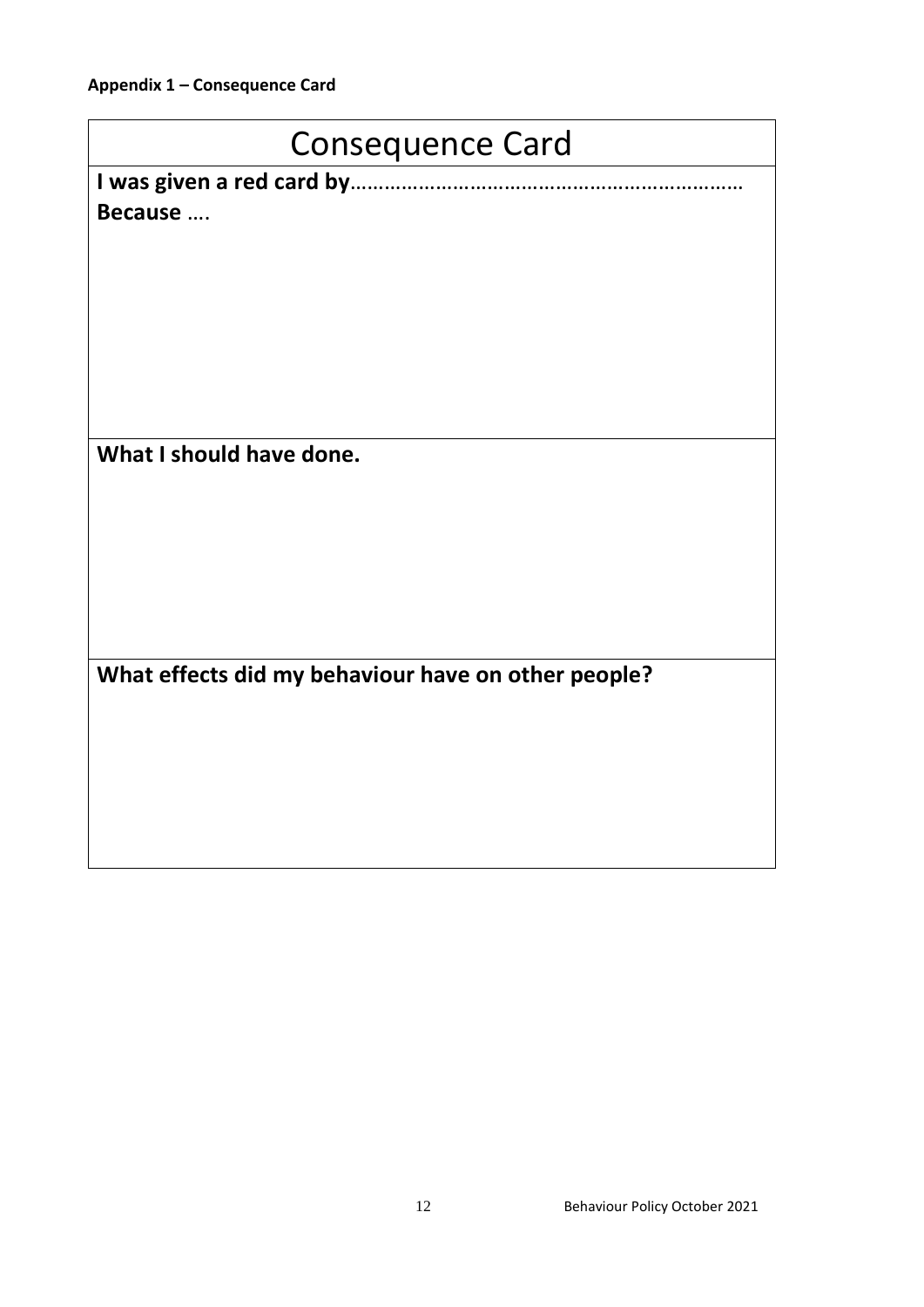# Consequence Card

**I was given a red card by**…………………………………………………………… **Because** ….

**What I should have done.**

**What effects did my behaviour have on other people?**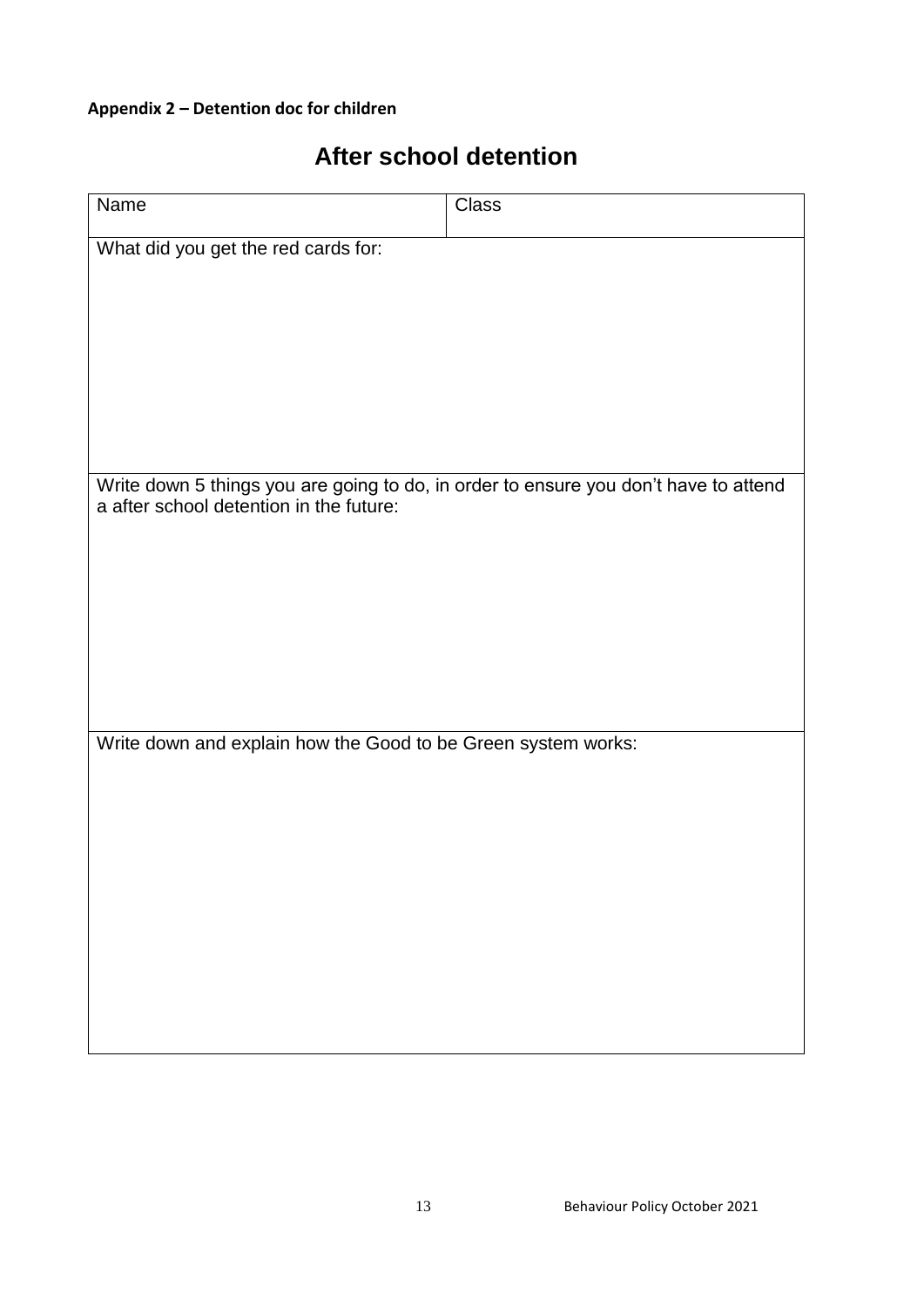## **Appendix 2 – Detention doc for children**

| <b>After school detention</b> |  |
|-------------------------------|--|
|-------------------------------|--|

| Name                                                                                 | <b>Class</b> |  |  |
|--------------------------------------------------------------------------------------|--------------|--|--|
| What did you get the red cards for:                                                  |              |  |  |
|                                                                                      |              |  |  |
|                                                                                      |              |  |  |
|                                                                                      |              |  |  |
|                                                                                      |              |  |  |
|                                                                                      |              |  |  |
| Write down 5 things you are going to do, in order to ensure you don't have to attend |              |  |  |
| a after school detention in the future:                                              |              |  |  |
|                                                                                      |              |  |  |
|                                                                                      |              |  |  |
|                                                                                      |              |  |  |
|                                                                                      |              |  |  |
|                                                                                      |              |  |  |
| Write down and explain how the Good to be Green system works:                        |              |  |  |
|                                                                                      |              |  |  |
|                                                                                      |              |  |  |
|                                                                                      |              |  |  |
|                                                                                      |              |  |  |
|                                                                                      |              |  |  |
|                                                                                      |              |  |  |
|                                                                                      |              |  |  |
|                                                                                      |              |  |  |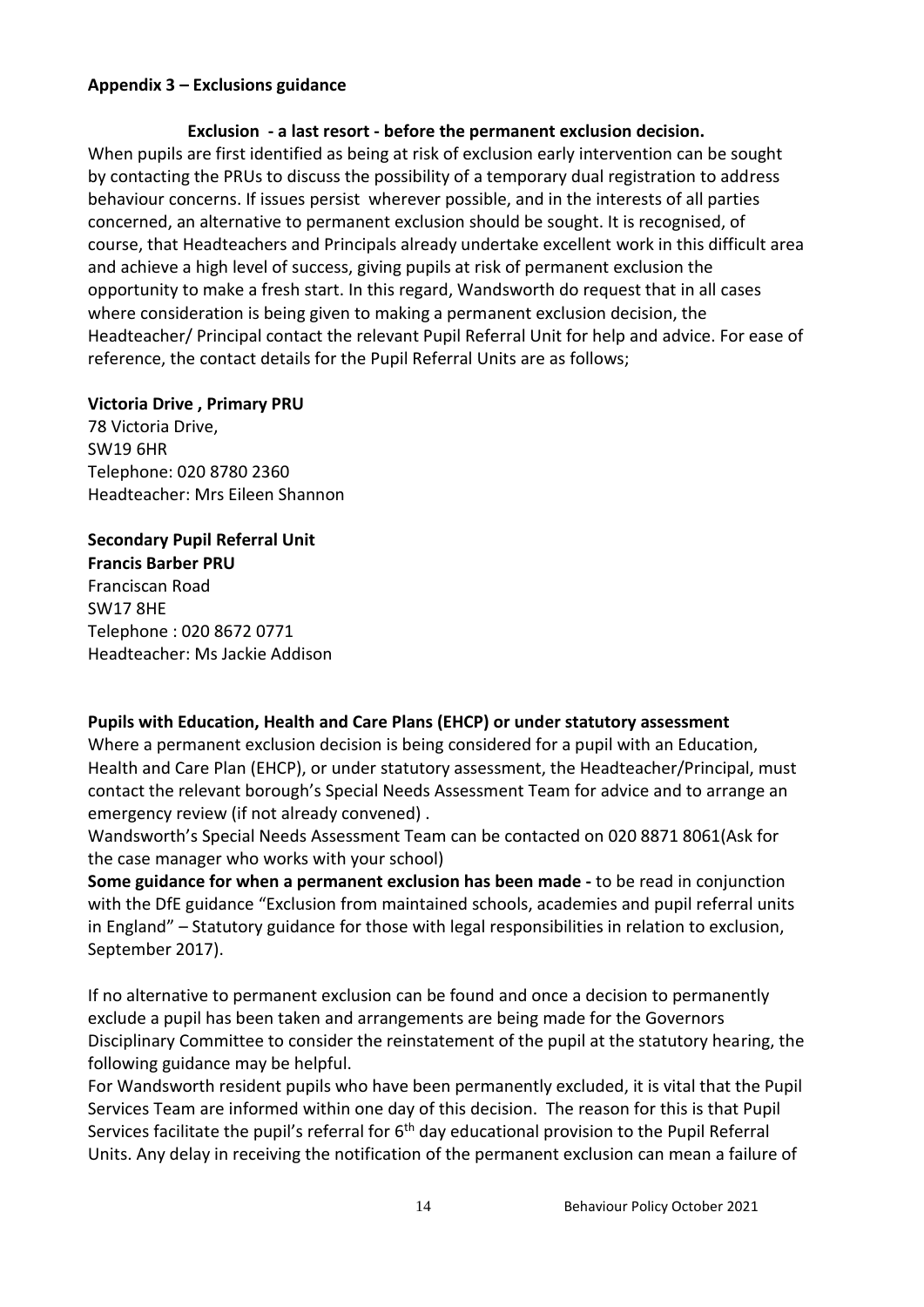#### **Appendix 3 – Exclusions guidance**

## **Exclusion - a last resort - before the permanent exclusion decision.**  When pupils are first identified as being at risk of exclusion early intervention can be sought by contacting the PRUs to discuss the possibility of a temporary dual registration to address behaviour concerns. If issues persist wherever possible, and in the interests of all parties concerned, an alternative to permanent exclusion should be sought. It is recognised, of course, that Headteachers and Principals already undertake excellent work in this difficult area and achieve a high level of success, giving pupils at risk of permanent exclusion the opportunity to make a fresh start. In this regard, Wandsworth do request that in all cases where consideration is being given to making a permanent exclusion decision, the Headteacher/ Principal contact the relevant Pupil Referral Unit for help and advice. For ease of reference, the contact details for the Pupil Referral Units are as follows;

#### **Victoria Drive , Primary PRU**

78 Victoria Drive, SW19 6HR Telephone: 020 8780 2360 Headteacher: Mrs Eileen Shannon

## **Secondary Pupil Referral Unit**

**Francis Barber PRU** Franciscan Road SW17 8HE Telephone : 020 8672 0771 Headteacher: Ms Jackie Addison

## **Pupils with Education, Health and Care Plans (EHCP) or under statutory assessment**

Where a permanent exclusion decision is being considered for a pupil with an Education, Health and Care Plan (EHCP), or under statutory assessment, the Headteacher/Principal, must contact the relevant borough's Special Needs Assessment Team for advice and to arrange an emergency review (if not already convened) .

Wandsworth's Special Needs Assessment Team can be contacted on 020 8871 8061(Ask for the case manager who works with your school)

**Some guidance for when a permanent exclusion has been made -** to be read in conjunction with the DfE guidance "Exclusion from maintained schools, academies and pupil referral units in England" – Statutory guidance for those with legal responsibilities in relation to exclusion, September 2017).

If no alternative to permanent exclusion can be found and once a decision to permanently exclude a pupil has been taken and arrangements are being made for the Governors Disciplinary Committee to consider the reinstatement of the pupil at the statutory hearing, the following guidance may be helpful.

For Wandsworth resident pupils who have been permanently excluded, it is vital that the Pupil Services Team are informed within one day of this decision. The reason for this is that Pupil Services facilitate the pupil's referral for  $6<sup>th</sup>$  day educational provision to the Pupil Referral Units. Any delay in receiving the notification of the permanent exclusion can mean a failure of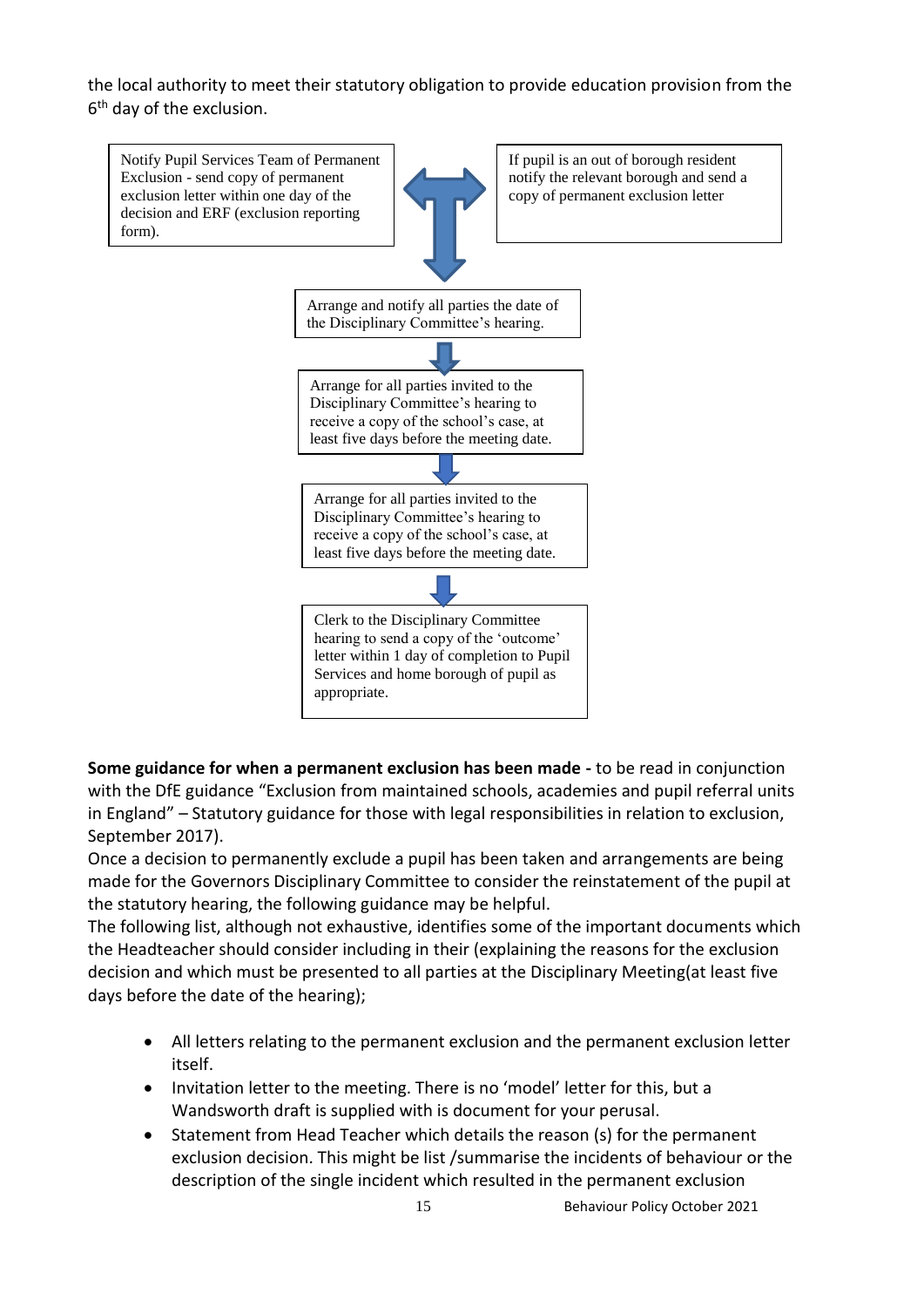the local authority to meet their statutory obligation to provide education provision from the 6 th day of the exclusion.



**Some guidance for when a permanent exclusion has been made -** to be read in conjunction with the DfE guidance "Exclusion from maintained schools, academies and pupil referral units in England" – Statutory guidance for those with legal responsibilities in relation to exclusion, September 2017).

Once a decision to permanently exclude a pupil has been taken and arrangements are being made for the Governors Disciplinary Committee to consider the reinstatement of the pupil at the statutory hearing, the following guidance may be helpful.

The following list, although not exhaustive, identifies some of the important documents which the Headteacher should consider including in their (explaining the reasons for the exclusion decision and which must be presented to all parties at the Disciplinary Meeting(at least five days before the date of the hearing);

- All letters relating to the permanent exclusion and the permanent exclusion letter itself.
- Invitation letter to the meeting. There is no 'model' letter for this, but a Wandsworth draft is supplied with is document for your perusal.
- Statement from Head Teacher which details the reason (s) for the permanent exclusion decision. This might be list /summarise the incidents of behaviour or the description of the single incident which resulted in the permanent exclusion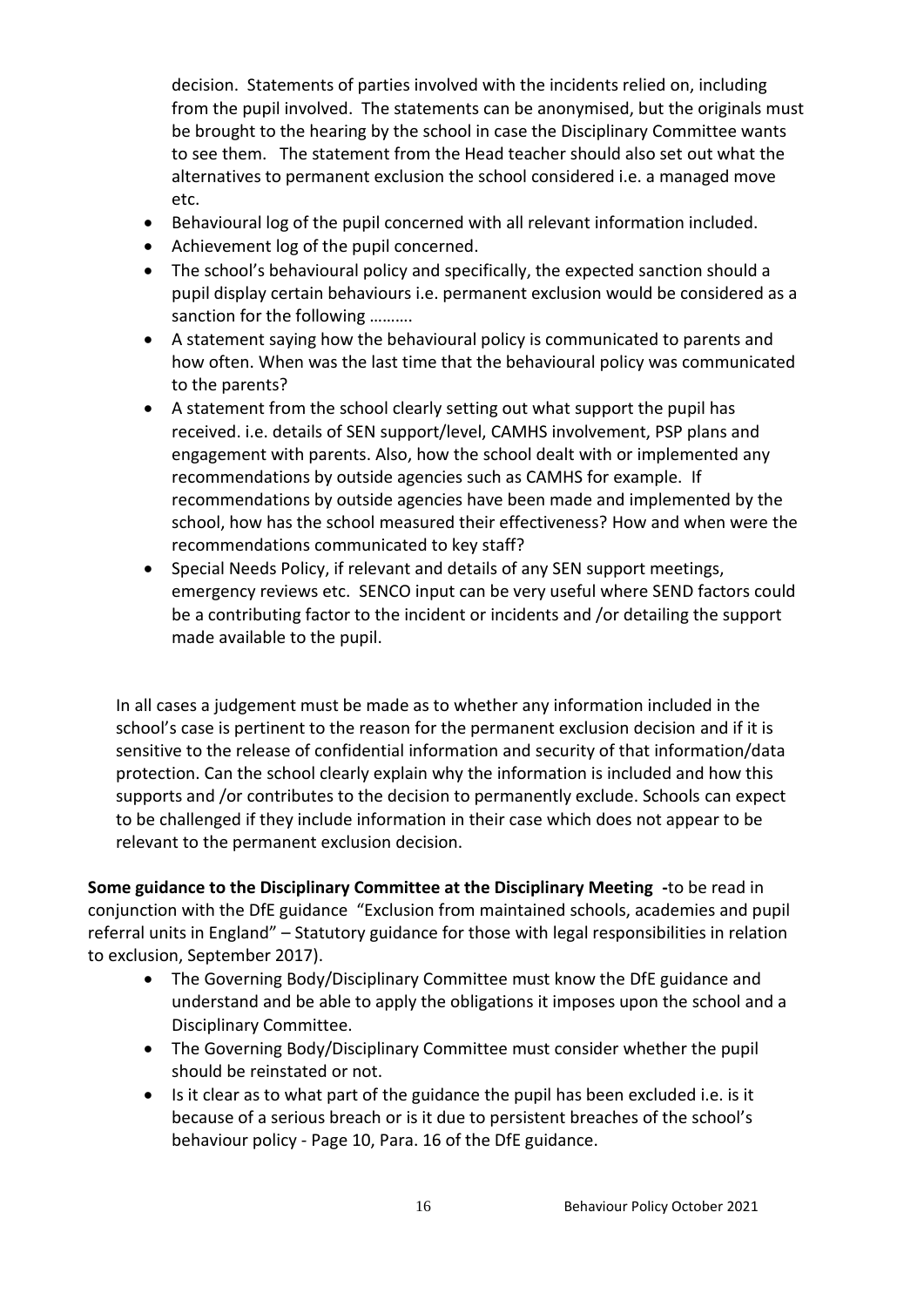decision. Statements of parties involved with the incidents relied on, including from the pupil involved. The statements can be anonymised, but the originals must be brought to the hearing by the school in case the Disciplinary Committee wants to see them. The statement from the Head teacher should also set out what the alternatives to permanent exclusion the school considered i.e. a managed move etc.

- Behavioural log of the pupil concerned with all relevant information included.
- Achievement log of the pupil concerned.
- The school's behavioural policy and specifically, the expected sanction should a pupil display certain behaviours i.e. permanent exclusion would be considered as a sanction for the following ……….
- A statement saying how the behavioural policy is communicated to parents and how often. When was the last time that the behavioural policy was communicated to the parents?
- A statement from the school clearly setting out what support the pupil has received. i.e. details of SEN support/level, CAMHS involvement, PSP plans and engagement with parents. Also, how the school dealt with or implemented any recommendations by outside agencies such as CAMHS for example. If recommendations by outside agencies have been made and implemented by the school, how has the school measured their effectiveness? How and when were the recommendations communicated to key staff?
- Special Needs Policy, if relevant and details of any SEN support meetings, emergency reviews etc. SENCO input can be very useful where SEND factors could be a contributing factor to the incident or incidents and /or detailing the support made available to the pupil.

In all cases a judgement must be made as to whether any information included in the school's case is pertinent to the reason for the permanent exclusion decision and if it is sensitive to the release of confidential information and security of that information/data protection. Can the school clearly explain why the information is included and how this supports and /or contributes to the decision to permanently exclude. Schools can expect to be challenged if they include information in their case which does not appear to be relevant to the permanent exclusion decision.

**Some guidance to the Disciplinary Committee at the Disciplinary Meeting -**to be read in conjunction with the DfE guidance "Exclusion from maintained schools, academies and pupil referral units in England" – Statutory guidance for those with legal responsibilities in relation to exclusion, September 2017).

- The Governing Body/Disciplinary Committee must know the DfE guidance and understand and be able to apply the obligations it imposes upon the school and a Disciplinary Committee.
- The Governing Body/Disciplinary Committee must consider whether the pupil should be reinstated or not.
- Is it clear as to what part of the guidance the pupil has been excluded i.e. is it because of a serious breach or is it due to persistent breaches of the school's behaviour policy - Page 10, Para. 16 of the DfE guidance.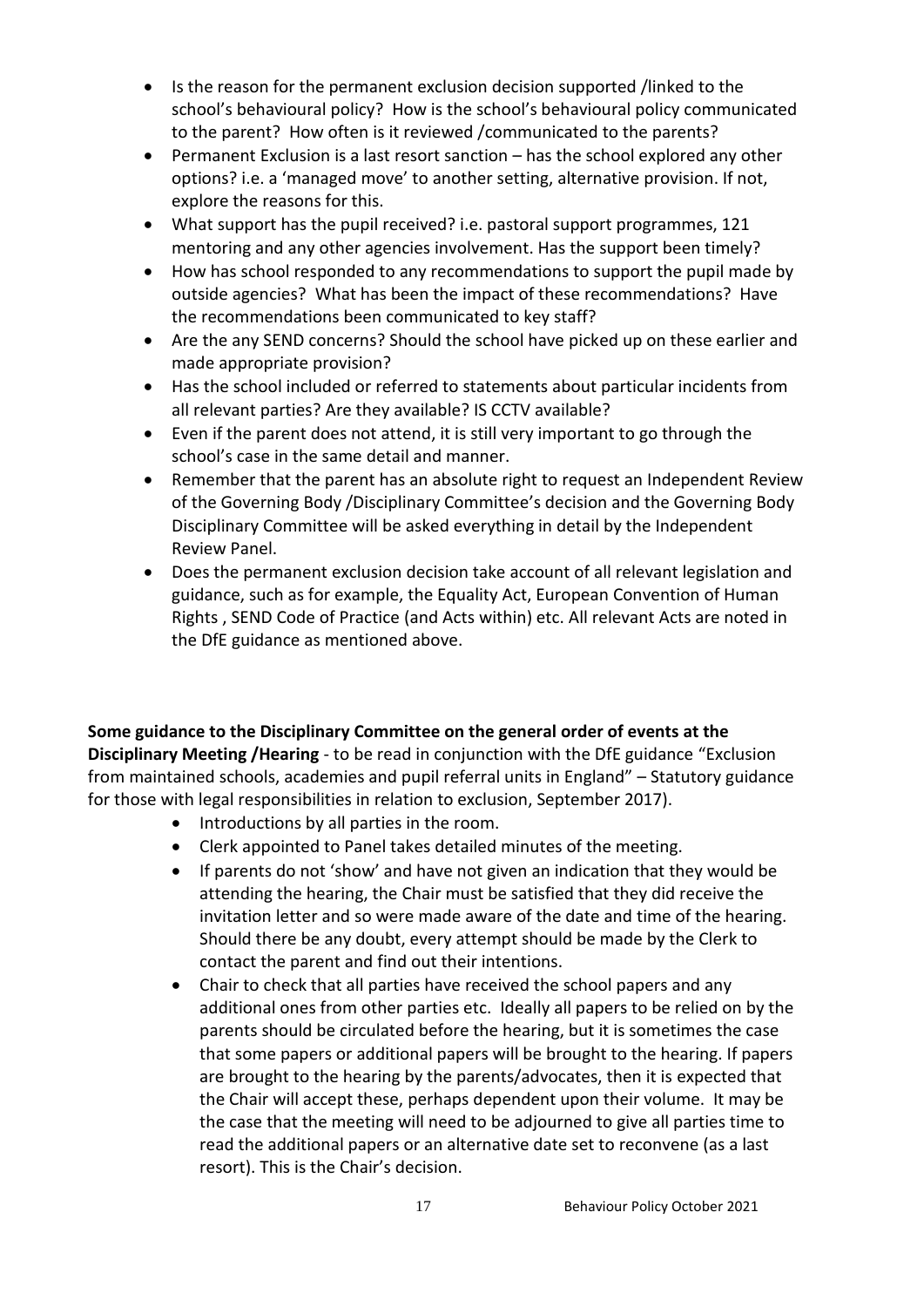- Is the reason for the permanent exclusion decision supported /linked to the school's behavioural policy? How is the school's behavioural policy communicated to the parent? How often is it reviewed /communicated to the parents?
- Permanent Exclusion is a last resort sanction has the school explored any other options? i.e. a 'managed move' to another setting, alternative provision. If not, explore the reasons for this.
- What support has the pupil received? i.e. pastoral support programmes, 121 mentoring and any other agencies involvement. Has the support been timely?
- How has school responded to any recommendations to support the pupil made by outside agencies? What has been the impact of these recommendations? Have the recommendations been communicated to key staff?
- Are the any SEND concerns? Should the school have picked up on these earlier and made appropriate provision?
- Has the school included or referred to statements about particular incidents from all relevant parties? Are they available? IS CCTV available?
- Even if the parent does not attend, it is still very important to go through the school's case in the same detail and manner.
- Remember that the parent has an absolute right to request an Independent Review of the Governing Body /Disciplinary Committee's decision and the Governing Body Disciplinary Committee will be asked everything in detail by the Independent Review Panel.
- Does the permanent exclusion decision take account of all relevant legislation and guidance, such as for example, the Equality Act, European Convention of Human Rights , SEND Code of Practice (and Acts within) etc. All relevant Acts are noted in the DfE guidance as mentioned above.

**Some guidance to the Disciplinary Committee on the general order of events at the Disciplinary Meeting /Hearing** - to be read in conjunction with the DfE guidance "Exclusion from maintained schools, academies and pupil referral units in England" – Statutory guidance for those with legal responsibilities in relation to exclusion, September 2017).

- Introductions by all parties in the room.
- Clerk appointed to Panel takes detailed minutes of the meeting.
- If parents do not 'show' and have not given an indication that they would be attending the hearing, the Chair must be satisfied that they did receive the invitation letter and so were made aware of the date and time of the hearing. Should there be any doubt, every attempt should be made by the Clerk to contact the parent and find out their intentions.
- Chair to check that all parties have received the school papers and any additional ones from other parties etc. Ideally all papers to be relied on by the parents should be circulated before the hearing, but it is sometimes the case that some papers or additional papers will be brought to the hearing. If papers are brought to the hearing by the parents/advocates, then it is expected that the Chair will accept these, perhaps dependent upon their volume. It may be the case that the meeting will need to be adjourned to give all parties time to read the additional papers or an alternative date set to reconvene (as a last resort). This is the Chair's decision.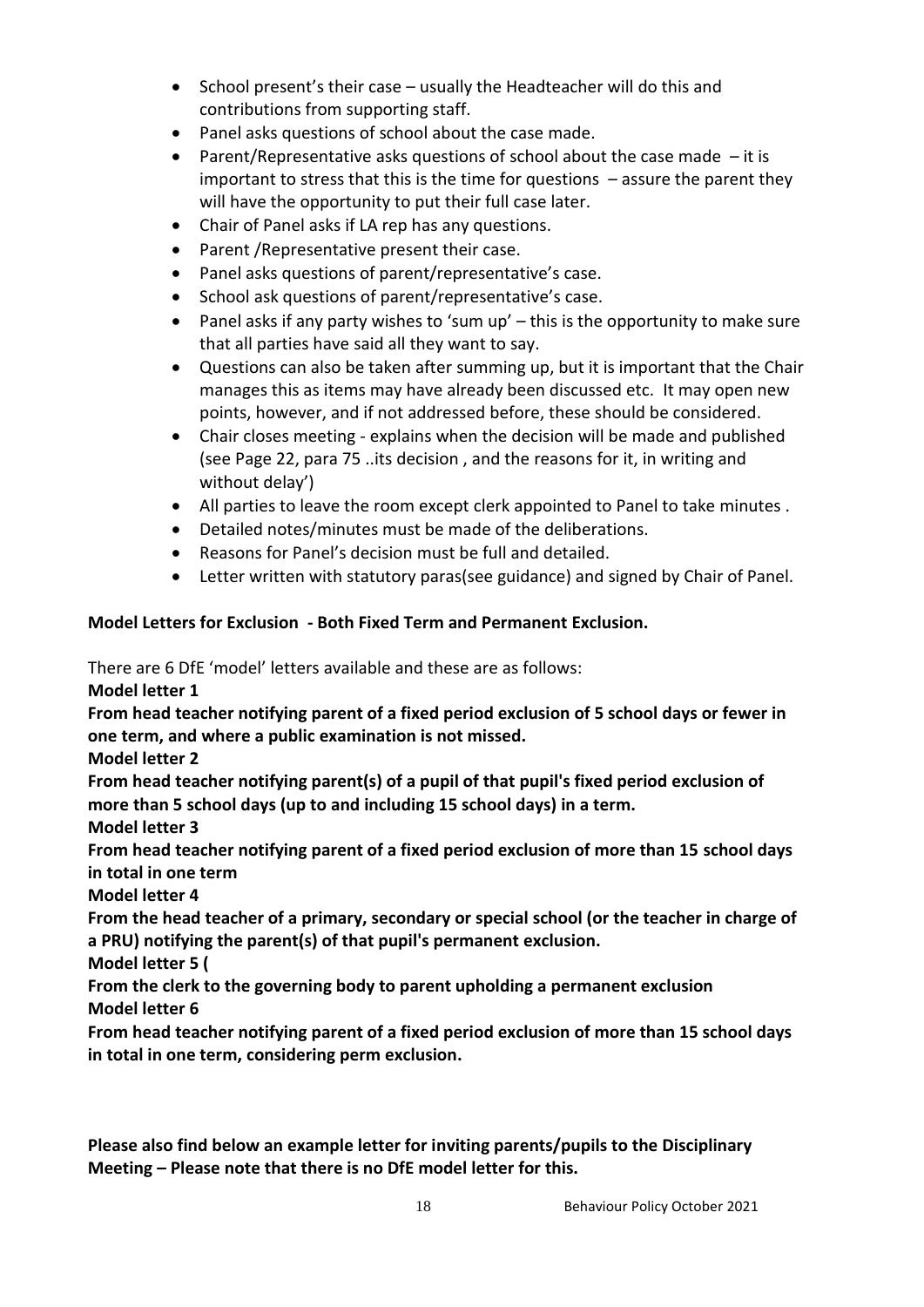- School present's their case usually the Headteacher will do this and contributions from supporting staff.
- Panel asks questions of school about the case made.
- **•** Parent/Representative asks questions of school about the case made  $-$  it is important to stress that this is the time for questions – assure the parent they will have the opportunity to put their full case later.
- Chair of Panel asks if LA rep has any questions.
- Parent / Representative present their case.
- Panel asks questions of parent/representative's case.
- School ask questions of parent/representative's case.
- Panel asks if any party wishes to 'sum up' this is the opportunity to make sure that all parties have said all they want to say.
- Questions can also be taken after summing up, but it is important that the Chair manages this as items may have already been discussed etc. It may open new points, however, and if not addressed before, these should be considered.
- Chair closes meeting explains when the decision will be made and published (see Page 22, para 75 ..its decision , and the reasons for it, in writing and without delay')
- All parties to leave the room except clerk appointed to Panel to take minutes .
- Detailed notes/minutes must be made of the deliberations.
- Reasons for Panel's decision must be full and detailed.
- Letter written with statutory paras(see guidance) and signed by Chair of Panel.

## **Model Letters for Exclusion - Both Fixed Term and Permanent Exclusion.**

There are 6 DfE 'model' letters available and these are as follows:

**Model letter 1** 

**From head teacher notifying parent of a fixed period exclusion of 5 school days or fewer in one term, and where a public examination is not missed.**

**Model letter 2** 

**From head teacher notifying parent(s) of a pupil of that pupil's fixed period exclusion of more than 5 school days (up to and including 15 school days) in a term.**

**Model letter 3** 

**From head teacher notifying parent of a fixed period exclusion of more than 15 school days in total in one term**

**Model letter 4** 

**From the head teacher of a primary, secondary or special school (or the teacher in charge of a PRU) notifying the parent(s) of that pupil's permanent exclusion.**

**Model letter 5 (**

**From the clerk to the governing body to parent upholding a permanent exclusion Model letter 6** 

**From head teacher notifying parent of a fixed period exclusion of more than 15 school days in total in one term, considering perm exclusion.**

**Please also find below an example letter for inviting parents/pupils to the Disciplinary Meeting – Please note that there is no DfE model letter for this.**